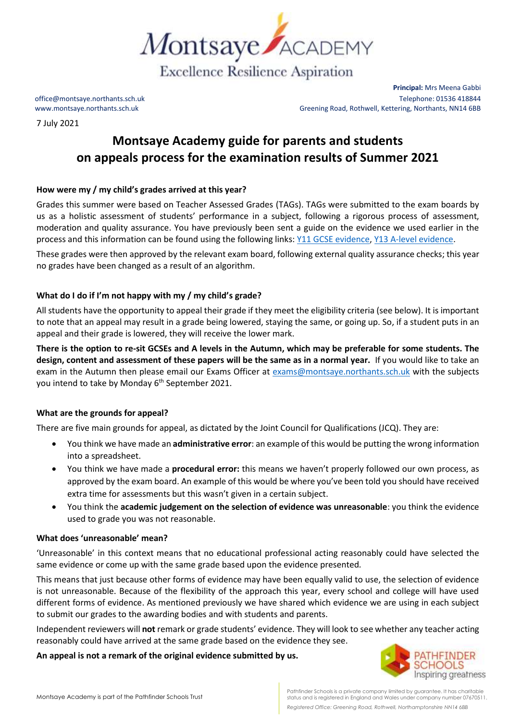

7 July 2021

**Principal:** Mrs Meena Gabbi office@montsaye.northants.sch.uk Telephone: 01536 418844 www.montsaye.northants.sch.uk Greening Road, Rothwell, Kettering, Northants, NN14 6BB

# **Montsaye Academy guide for parents and students on appeals process for the examination results of Summer 2021**

# **How were my / my child's grades arrived at this year?**

Grades this summer were based on Teacher Assessed Grades (TAGs). TAGs were submitted to the exam boards by us as a holistic assessment of students' performance in a subject, following a rigorous process of assessment, moderation and quality assurance. You have previously been sent a guide on the evidence we used earlier in the process and this information can be found using the following links[: Y11 GCSE evidence,](https://www.montsaye.northants.sch.uk/assets/Documents/Newsletters/Y11-assessment-by-subject.pdf) [Y13 A-level evidence.](https://www.montsaye.northants.sch.uk/assets/Documents/Newsletters/Year-13-summer-assessment-by-subject-2.pdf)

These grades were then approved by the relevant exam board, following external quality assurance checks; this year no grades have been changed as a result of an algorithm.

# **What do I do if I'm not happy with my / my child's grade?**

All students have the opportunity to appeal their grade if they meet the eligibility criteria (see below). It is important to note that an appeal may result in a grade being lowered, staying the same, or going up. So, if a student puts in an appeal and their grade is lowered, they will receive the lower mark.

**There is the option to re-sit GCSEs and A levels in the Autumn, which may be preferable for some students. The design, content and assessment of these papers will be the same as in a normal year.** If you would like to take an exam in the Autumn then please email our Exams Officer at [exams@montsaye.northants.sch.uk](mailto:exams@montsaye.northants.sch.uk) with the subjects you intend to take by Monday 6<sup>th</sup> September 2021.

## **What are the grounds for appeal?**

There are five main grounds for appeal, as dictated by the Joint Council for Qualifications (JCQ). They are:

- You think we have made an **administrative error**: an example of this would be putting the wrong information into a spreadsheet.
- You think we have made a **procedural error:** this means we haven't properly followed our own process, as approved by the exam board. An example of this would be where you've been told you should have received extra time for assessments but this wasn't given in a certain subject.
- You think the **academic judgement on the selection of evidence was unreasonable**: you think the evidence used to grade you was not reasonable.

## **What does 'unreasonable' mean?**

'Unreasonable' in this context means that no educational professional acting reasonably could have selected the same evidence or come up with the same grade based upon the evidence presented*.*

This means that just because other forms of evidence may have been equally valid to use, the selection of evidence is not unreasonable. Because of the flexibility of the approach this year, every school and college will have used different forms of evidence. As mentioned previously we have shared which evidence we are using in each subject to submit our grades to the awarding bodies and with students and parents.

Independent reviewers will **not** remark or grade students' evidence. They will look to see whether any teacher acting reasonably could have arrived at the same grade based on the evidence they see.

**An appeal is not a remark of the original evidence submitted by us.** 



Pathfinder Schools is a private company limited by guarantee. It has charitable status and is registered in England and Wales under company number 07670511. *Registered Office: Greening Road, Rothwell, Northamptonshire NN14 6BB*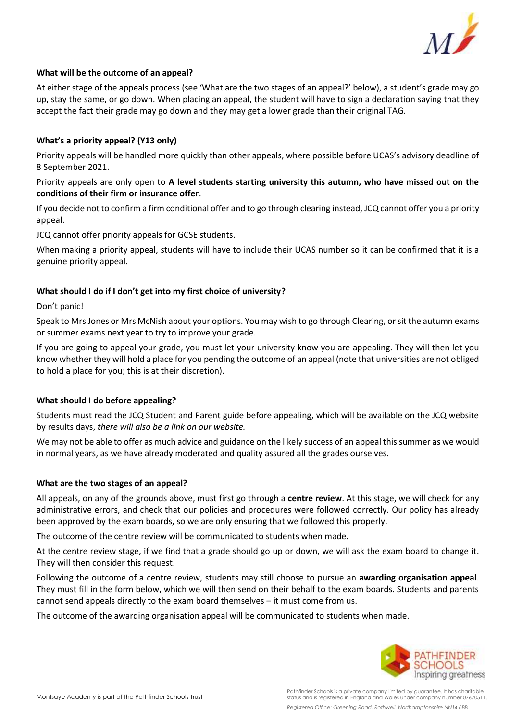

# **What will be the outcome of an appeal?**

At either stage of the appeals process (see 'What are the two stages of an appeal?' below), a student's grade may go up, stay the same, or go down. When placing an appeal, the student will have to sign a declaration saying that they accept the fact their grade may go down and they may get a lower grade than their original TAG.

## **What's a priority appeal? (Y13 only)**

Priority appeals will be handled more quickly than other appeals, where possible before UCAS's advisory deadline of 8 September 2021.

Priority appeals are only open to **A level students starting university this autumn, who have missed out on the conditions of their firm or insurance offer**.

If you decide not to confirm a firm conditional offer and to go through clearing instead, JCQ cannot offer you a priority appeal.

JCQ cannot offer priority appeals for GCSE students.

When making a priority appeal, students will have to include their UCAS number so it can be confirmed that it is a genuine priority appeal.

## **What should I do if I don't get into my first choice of university?**

#### Don't panic!

Speak to Mrs Jones or Mrs McNish about your options. You may wish to go through Clearing, or sit the autumn exams or summer exams next year to try to improve your grade.

If you are going to appeal your grade, you must let your university know you are appealing. They will then let you know whether they will hold a place for you pending the outcome of an appeal (note that universities are not obliged to hold a place for you; this is at their discretion).

## **What should I do before appealing?**

Students must read the JCQ Student and Parent guide before appealing, which will be available on the JCQ website by results days, *there will also be a link on our website.*

We may not be able to offer as much advice and guidance on the likely success of an appeal this summer as we would in normal years, as we have already moderated and quality assured all the grades ourselves.

## **What are the two stages of an appeal?**

All appeals, on any of the grounds above, must first go through a **centre review**. At this stage, we will check for any administrative errors, and check that our policies and procedures were followed correctly. Our policy has already been approved by the exam boards, so we are only ensuring that we followed this properly.

The outcome of the centre review will be communicated to students when made.

At the centre review stage, if we find that a grade should go up or down, we will ask the exam board to change it. They will then consider this request.

Following the outcome of a centre review, students may still choose to pursue an **awarding organisation appeal**. They must fill in the form below, which we will then send on their behalf to the exam boards. Students and parents cannot send appeals directly to the exam board themselves – it must come from us.

The outcome of the awarding organisation appeal will be communicated to students when made.